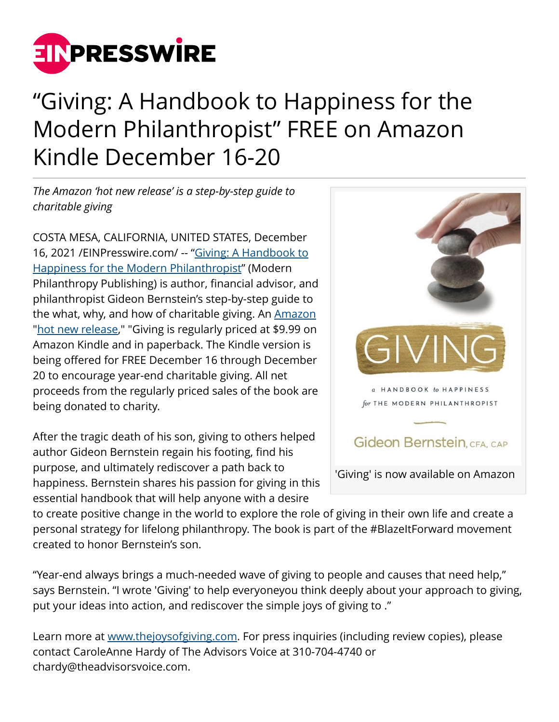

## "Giving: A Handbook to Happiness for the Modern Philanthropist" FREE on Amazon Kindle December 16-20

*The Amazon 'hot new release' is a step-by-step guide to charitable giving*

COSTA MESA, CALIFORNIA, UNITED STATES, December 16, 2021 /[EINPresswire.com/](http://www.einpresswire.com) -- ["Giving: A Handbook to](http://www.thejoysofgiving.com) [Happiness for the Modern Philanthropist"](http://www.thejoysofgiving.com) (Modern Philanthropy Publishing) is author, financial advisor, and philanthropist Gideon Bernstein's step-by-step guide to the what, why, and how of charitable giving. An [Amazon](http://www.amazon.com/Giving-Handbook-Happiness-Modern-Philanthropist/dp/0578331594/) "[hot new release](https://www.amazon.com/gp/new-releases/books/2649/)," "Giving is regularly priced at \$9.99 on Amazon Kindle and in paperback. The Kindle version is being offered for FREE December 16 through December 20 to encourage year-end charitable giving. All net proceeds from the regularly priced sales of the book are being donated to charity.

After the tragic death of his son, giving to others helped author Gideon Bernstein regain his footing, find his purpose, and ultimately rediscover a path back to happiness. Bernstein shares his passion for giving in this essential handbook that will help anyone with a desire



to create positive change in the world to explore the role of giving in their own life and create a personal strategy for lifelong philanthropy. The book is part of the #BlazeItForward movement created to honor Bernstein's son.

"Year-end always brings a much-needed wave of giving to people and causes that need help," says Bernstein. "I wrote 'Giving' to help everyoneyou think deeply about your approach to giving, put your ideas into action, and rediscover the simple joys of giving to ."

Learn more at [www.thejoysofgiving.com.](http://www.thejoysofgiving.com) For press inquiries (including review copies), please contact CaroleAnne Hardy of The Advisors Voice at 310-704-4740 or chardy@theadvisorsvoice.com.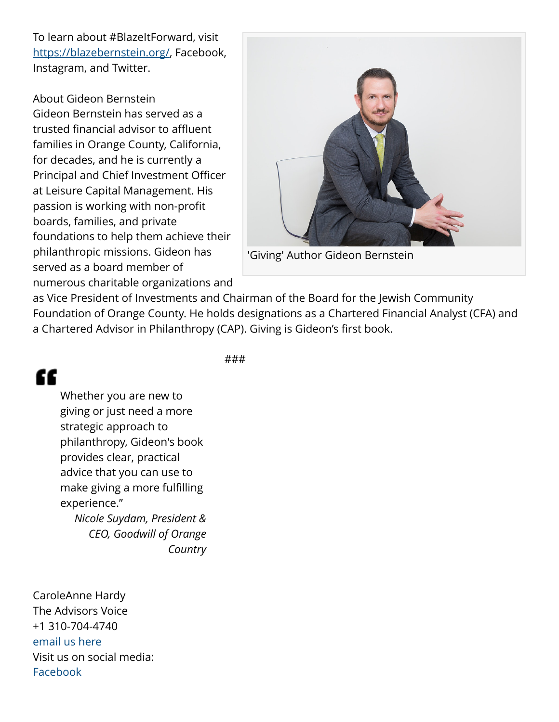To learn about #BlazeItForward, visit [https://blazebernstein.org/,](https://blazebernstein.org/) Facebook, Instagram, and Twitter.

About Gideon Bernstein Gideon Bernstein has served as a trusted financial advisor to affluent families in Orange County, California, for decades, and he is currently a Principal and Chief Investment Officer at Leisure Capital Management. His passion is working with non-profit boards, families, and private foundations to help them achieve their philanthropic missions. Gideon has served as a board member of numerous charitable organizations and



'Giving' Author Gideon Bernstein

as Vice President of Investments and Chairman of the Board for the Jewish Community Foundation of Orange County. He holds designations as a Chartered Financial Analyst (CFA) and a Chartered Advisor in Philanthropy (CAP). Giving is Gideon's first book.

###

## "

Whether you are new to giving or just need a more strategic approach to philanthropy, Gideon's book provides clear, practical advice that you can use to make giving a more fulfilling experience." *Nicole Suydam, President & CEO, Goodwill of Orange*

*Country*

CaroleAnne Hardy The Advisors Voice +1 310-704-4740 [email us here](http://www.einpresswire.com/contact_author/3209019) Visit us on social media: [Facebook](https://www.facebook.com/groups/blazeitforward/)